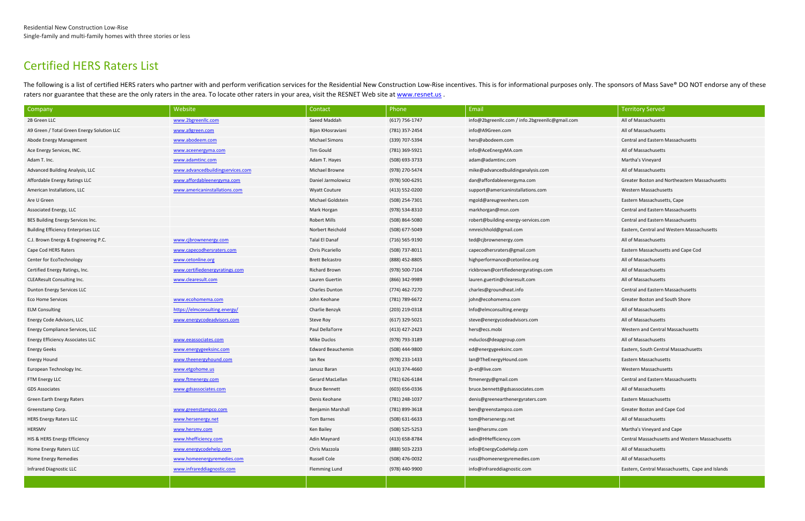# Certified HERS Raters List

The following is a list of certified HERS raters who partner with and perform verification services for the Residential New Construction Low-Rise incentives. This is for informational purposes only. The sponsors of Mass Sa raters nor guarantee that these are the only raters in the area. To locate other raters in your area, visit the RESNET Web site a[t www.resnet.us](http://www.resnet.us/).

| Company                                    | Website                          | Contact                 | Phone              | Email                                           | <b>Territory Served</b>                          |  |
|--------------------------------------------|----------------------------------|-------------------------|--------------------|-------------------------------------------------|--------------------------------------------------|--|
| 2B Green LLC                               | www.2bgreenllc.com               | Saeed Maddah            | (617) 756-1747     | info@2bgreenllc.com / info.2bgreenllc@gmail.com | All of Massachusetts                             |  |
| A9 Green / Total Green Energy Solution LLC | www.a9green.com                  | Bijan KHosraviani       | (781) 357-2454     | info@A9Green.com                                | All of Massachusetts                             |  |
| Abode Energy Management                    | www.abodeem.com                  | <b>Michael Simons</b>   | (339) 707-5394     | hers@abodeem.com                                | <b>Central and Eastern Massachusetts</b>         |  |
| Ace Energy Services, INC.                  | www.aceenergyma.com              | Tim Gould               | (781) 369-5921     | info@AceEnergyMA.com                            | All of Massachusetts                             |  |
| Adam T. Inc.                               | www.adamtinc.com                 | Adam T. Hayes           | (508) 693-3733     | adam@adamtinc.com                               | Martha's Vineyard                                |  |
| Advanced Building Analysis, LLC            | www.advancedbuildingservices.com | <b>Michael Browne</b>   | (978) 270-5474     | mike@advancedbuildinganalysis.com               | All of Massachusetts                             |  |
| Affordable Energy Ratings LLC              | www.affordableenergyma.com       | Daniel Jarmolowicz      | (978) 500-6291     | dan@affordableenergyma.com                      | Greater Boston and Northeastern Massachusetts    |  |
| American Installations, LLC                | www.americaninstallations.com    | <b>Wyatt Couture</b>    | (413) 552-0200     | support@americaninstallations.com               | Western Massachusetts                            |  |
| Are U Green                                |                                  | Michael Goldstein       | (508) 254-7301     | mgold@areugreenhers.com                         | Eastern Massachusetts, Cape                      |  |
| Associated Energy, LLC                     |                                  | Mark Horgan             | (978) 534-8310     | markhorgan@msn.com                              | <b>Central and Eastern Massachusetts</b>         |  |
| BES Building Energy Services Inc.          |                                  | <b>Robert Mills</b>     | (508) 864-5080     | robert@building-energy-services.com             | Central and Eastern Massachusetts                |  |
| <b>Building Efficiency Enterprises LLC</b> |                                  | Norbert Reichold        | (508) 677-5049     | nmreichhold@gmail.com                           | Eastern, Central and Western Massachusetts       |  |
| C.J. Brown Energy & Engineering P.C.       | www.cjbrownenergy.com            | Talal El Danaf          | (716) 565-9190     | ted@cjbrownenergy.com                           | All of Massachusetts                             |  |
| Cape Cod HERS Raters                       | www.capecodhersraters.com        | Chris Picariello        | (508) 737-8011     | capecodhersraters@gmail.com                     | Eastern Massachusetts and Cape Cod               |  |
| Center for EcoTechnology                   | www.cetonline.org                | <b>Brett Belcastro</b>  | (888) 452-8805     | highperformance@cetonline.org                   | All of Massachusetts                             |  |
| Certified Energy Ratings, Inc.             | www.certifiedenergyratings.com   | <b>Richard Brown</b>    | (978) 500-7104     | rickbrown@certifiedenergyratings.com            | All of Massachusetts                             |  |
| <b>CLEAResult Consulting Inc.</b>          | www.clearesult.com               | Lauren Guertin          | (866) 342-9989     | lauren.guertin@clearesult.com                   | All of Massachusetts                             |  |
| Dunton Energy Services LLC                 |                                  | <b>Charles Dunton</b>   | (774) 462-7270     | charles@groundheat.info                         | <b>Central and Eastern Massachusetts</b>         |  |
| <b>Eco Home Services</b>                   | www.ecohomema.com                | John Keohane            | (781) 789-6672     | john@ecohomema.com                              | Greater Boston and South Shore                   |  |
| <b>ELM Consulting</b>                      | https://elmconsulting.energy/    | Charlie Benzyk          | (203) 219-0318     | Info@elmconsulting.energy                       | All of Massachusetts                             |  |
| Energy Code Advisors, LLC                  | www.energycodeadvisors.com       | Steve Roy               | $(617)$ 329-5021   | steve@energycodeadvisors.com                    | All of Massachusetts                             |  |
| Energy Compliance Services, LLC            |                                  | Paul DellaTorre         | (413) 427-2423     | hers@ecs.mobi                                   | Western and Central Massachusetts                |  |
| Energy Efficiency Associates LLC           | www.eeassociates.com             | <b>Mike Duclos</b>      | (978) 793-3189     | mduclos@deapgroup.com                           | All of Massachusetts                             |  |
| Energy Geeks                               | www.energygeeksinc.com           | Edward Beauchemin       | (508) 444-9800     | ed@energygeeksinc.com                           | Eastern, South Central Massachusetts             |  |
| Energy Hound                               | www.theenergyhound.com           | lan Rex                 | (978) 233-1433     | lan@TheEnergyHound.com                          | Eastern Massachusetts                            |  |
| European Technology Inc.                   | www.etgohome.us                  | Janusz Baran            | (413) 374-4660     | jb-et@live.com                                  | Western Massachusetts                            |  |
| FTM Energy LLC                             | www.ftmenergy.com                | <b>Gerard MacLellan</b> | (781) 626-6184     | ftmenergy@gmail.com                             | <b>Central and Eastern Massachusetts</b>         |  |
| <b>GDS Associates</b>                      | www.gdsassociates.com            | <b>Bruce Bennett</b>    | $(603) 656 - 0336$ | bruce.bennett@gdsassociates.com                 | All of Massachusetts                             |  |
| Green Earth Energy Raters                  |                                  | Denis Keohane           | (781) 248-1037     | denis@greenearthenergyraters.com                | Eastern Massachusetts                            |  |
| Greenstamp Corp.                           | www.greenstampco.com             | Benjamin Marshall       | (781) 899-3618     | ben@greenstampco.com                            | Greater Boston and Cape Cod                      |  |
| <b>HERS Energy Raters LLC</b>              | www.hersenergy.net               | Tom Barnes              | (508) 631-6633     | tom@hersenergy.net                              | All of Massachusetts                             |  |
| HERSMV                                     | www.hersmv.com                   | Ken Bailey              | (508) 525-5253     | ken@hersmv.com                                  | Martha's Vineyard and Cape                       |  |
| HIS & HERS Energy Efficiency               | www.hhefficiency.com             | Adin Maynard            | (413) 658-8784     | adin@HHefficiency.com                           | Central Massachusetts and Western Massachusetts  |  |
| Home Energy Raters LLC                     | www.energycodehelp.com           | Chris Mazzola           | (888) 503-2233     | info@EnergyCodeHelp.com                         | All of Massachusetts                             |  |
| Home Energy Remedies                       | www.homeenergyremedies.com       | <b>Russell Cole</b>     | (508) 476-0032     | russ@homeenergyremedies.com                     | All of Massachusetts                             |  |
| Infrared Diagnostic LLC                    | www.infrareddiagnostic.com       | <b>Flemming Lund</b>    | (978) 440-9900     | info@infrareddiagnostic.com                     | Eastern, Central Massachusetts, Cape and Islands |  |
|                                            |                                  |                         |                    |                                                 |                                                  |  |